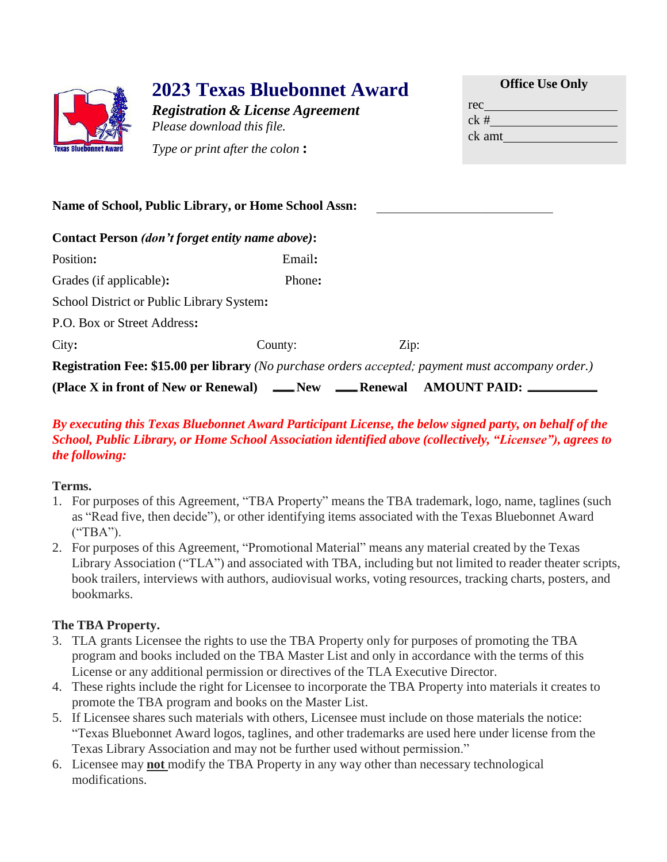| Please download this file.<br>Type or print after the colon:<br>Texas Bluebonnet Award |                                                  | 2023 Texas Bluebonnet Award<br><b>Registration &amp; License Agreement</b> |      | <b>Office Use Only</b><br>$rec$ $rac{1}{2}$<br>ck#<br>ck amt                                       |
|----------------------------------------------------------------------------------------|--------------------------------------------------|----------------------------------------------------------------------------|------|----------------------------------------------------------------------------------------------------|
|                                                                                        |                                                  | Name of School, Public Library, or Home School Assn:                       |      |                                                                                                    |
|                                                                                        | Contact Person (don't forget entity name above): |                                                                            |      |                                                                                                    |
| Position:                                                                              |                                                  | Email:                                                                     |      |                                                                                                    |
| Grades (if applicable):                                                                |                                                  | Phone:                                                                     |      |                                                                                                    |
|                                                                                        | School District or Public Library System:        |                                                                            |      |                                                                                                    |
| P.O. Box or Street Address:                                                            |                                                  |                                                                            |      |                                                                                                    |
| City:                                                                                  |                                                  | County:                                                                    | Zip: |                                                                                                    |
|                                                                                        |                                                  |                                                                            |      | Registration Fee: \$15.00 per library (No purchase orders accepted; payment must accompany order.) |
|                                                                                        |                                                  | (Place X in front of New or Renewal) ____New ____Renewal AMOUNT PAID: _    |      |                                                                                                    |

## *By executing this Texas Bluebonnet Award Participant License, the below signed party, on behalf of the School, Public Library, or Home School Association identified above (collectively, "Licensee"), agrees to the following:*

## **Terms.**

- 1. For purposes of this Agreement, "TBA Property" means the TBA trademark, logo, name, taglines (such as "Read five, then decide"), or other identifying items associated with the Texas Bluebonnet Award ("TBA").
- 2. For purposes of this Agreement, "Promotional Material" means any material created by the Texas Library Association ("TLA") and associated with TBA, including but not limited to reader theater scripts, book trailers, interviews with authors, audiovisual works, voting resources, tracking charts, posters, and bookmarks.

# **The TBA Property.**

- 3. TLA grants Licensee the rights to use the TBA Property only for purposes of promoting the TBA program and books included on the TBA Master List and only in accordance with the terms of this License or any additional permission or directives of the TLA Executive Director.
- 4. These rights include the right for Licensee to incorporate the TBA Property into materials it creates to promote the TBA program and books on the Master List.
- 5. If Licensee shares such materials with others, Licensee must include on those materials the notice: "Texas Bluebonnet Award logos, taglines, and other trademarks are used here under license from the Texas Library Association and may not be further used without permission."
- 6. Licensee may **not** modify the TBA Property in any way other than necessary technological modifications.